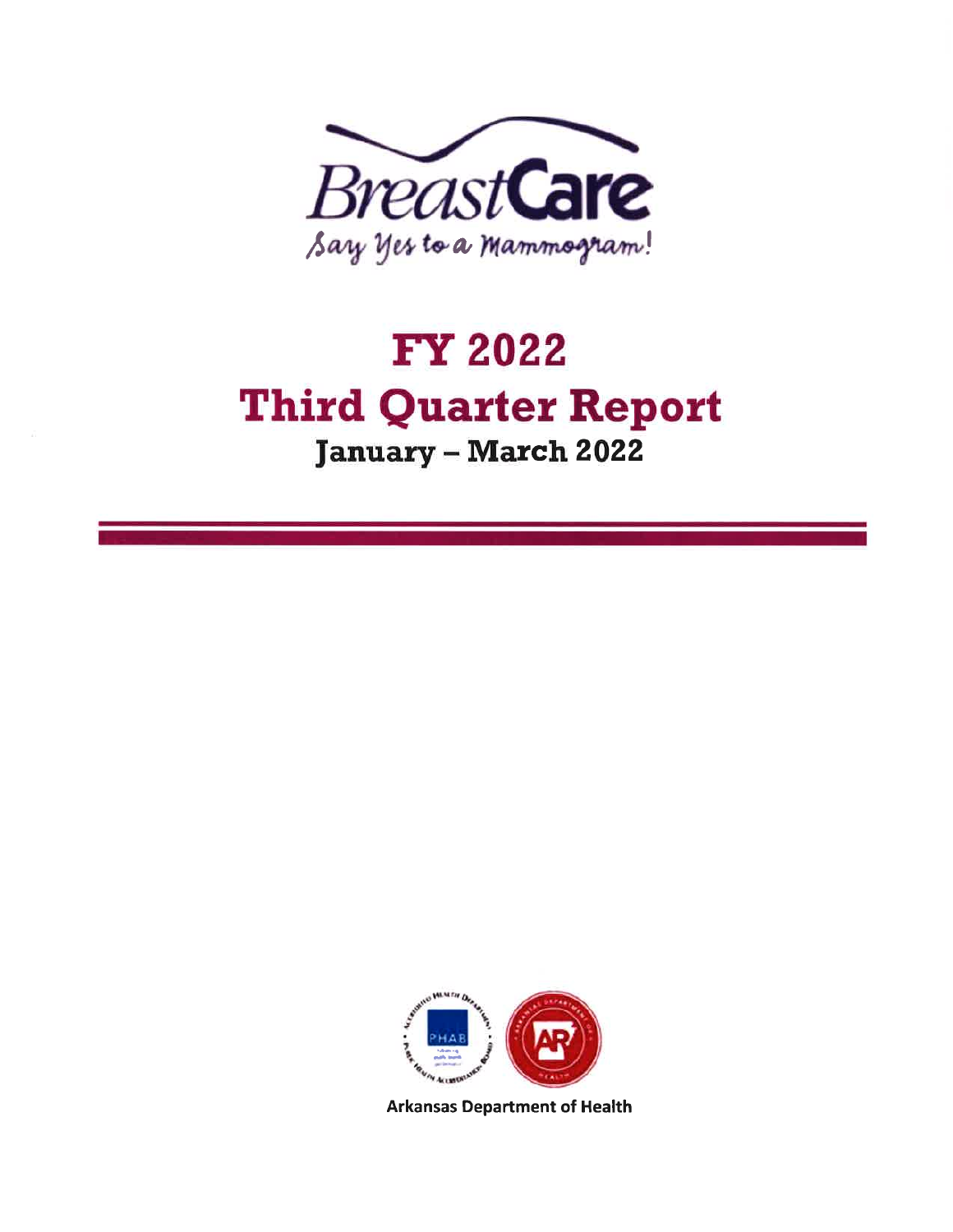

# **FY 2022 Third Quarter Report January - March 2022**



**Arkansas Department of Health**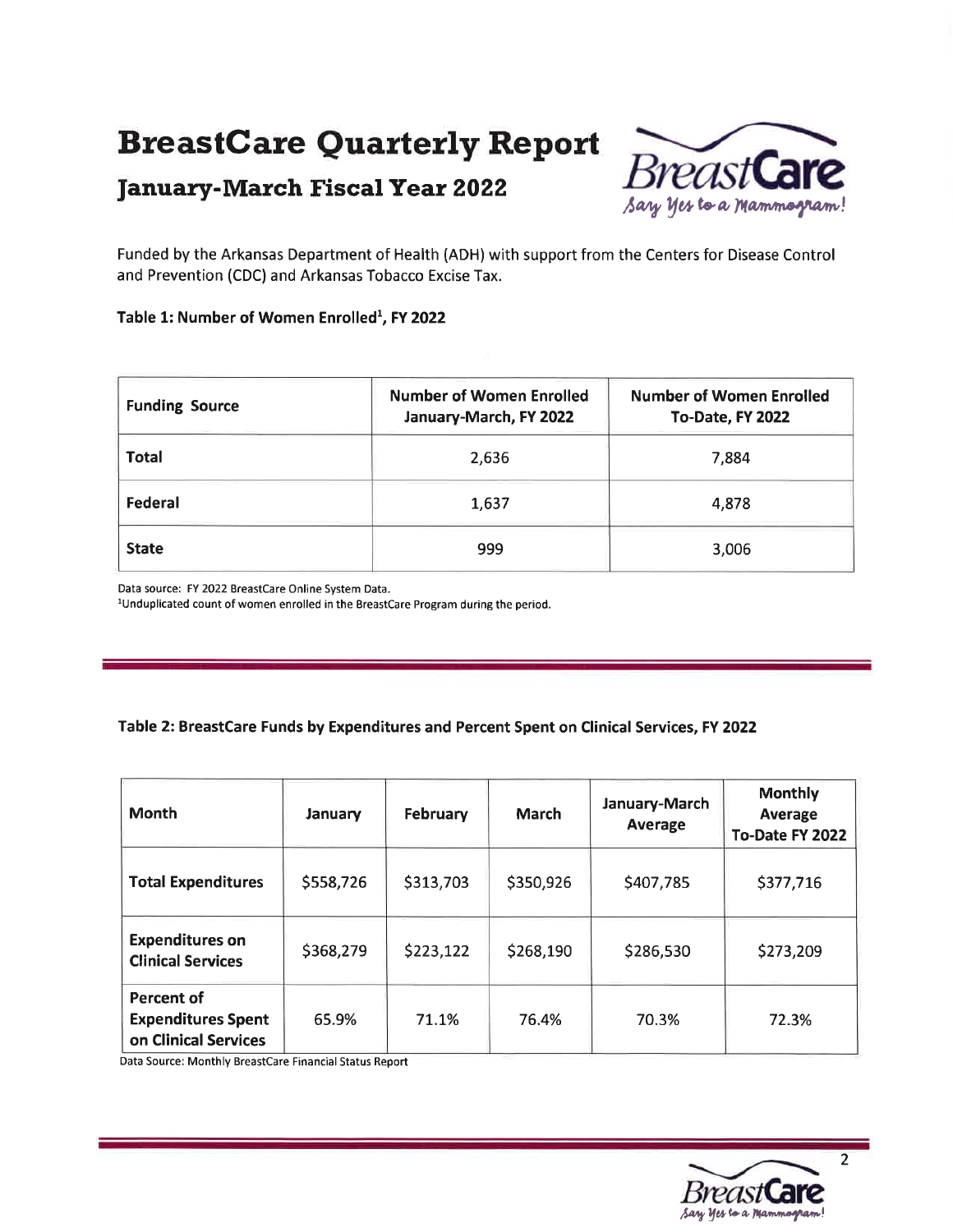## BreastGare Quarterly Report



Funded by the Arkansas Department of Health (ADH) with support from the Centers for Disease Control and Prevention (CDC) and Arkansas Tobacco Excise Tax.

#### Table 1: Number of Women Enrolled<sup>1</sup>, FY 2022

| <b>Funding Source</b> | <b>Number of Women Enrolled</b><br>January-March, FY 2022 | <b>Number of Women Enrolled</b><br>To-Date, FY 2022 |  |
|-----------------------|-----------------------------------------------------------|-----------------------------------------------------|--|
| <b>Total</b>          | 2,636                                                     | 7,884                                               |  |
| Federal               | 1,637                                                     | 4,878                                               |  |
| <b>State</b>          | 999                                                       | 3,006                                               |  |

Data source: FY 2022 Breastcare Online System Data.

<sup>1</sup>Unduplicated count of women enrolled in the BreastCare Program during the period.

#### Table 2: BreastCare Funds by Expenditures and Percent Spent on Clinical Services, FY 2022

| <b>Month</b>                                                           | January   | February  | March     | January-March<br>Average | <b>Monthly</b><br><b>Average</b><br>To-Date FY 2022 |
|------------------------------------------------------------------------|-----------|-----------|-----------|--------------------------|-----------------------------------------------------|
| <b>Total Expenditures</b>                                              | \$558,726 | \$313,703 | \$350,926 | \$407,785                | \$377,716                                           |
| <b>Expenditures on</b><br><b>Clinical Services</b>                     | \$368,279 | \$223,122 | \$268,190 | \$286,530                | \$273,209                                           |
| <b>Percent of</b><br><b>Expenditures Spent</b><br>on Clinical Services | 65.9%     | 71.1%     | 76.4%     | 70.3%                    | 72.3%                                               |

Data Source: Monthly Breastcare Financial Status Report



2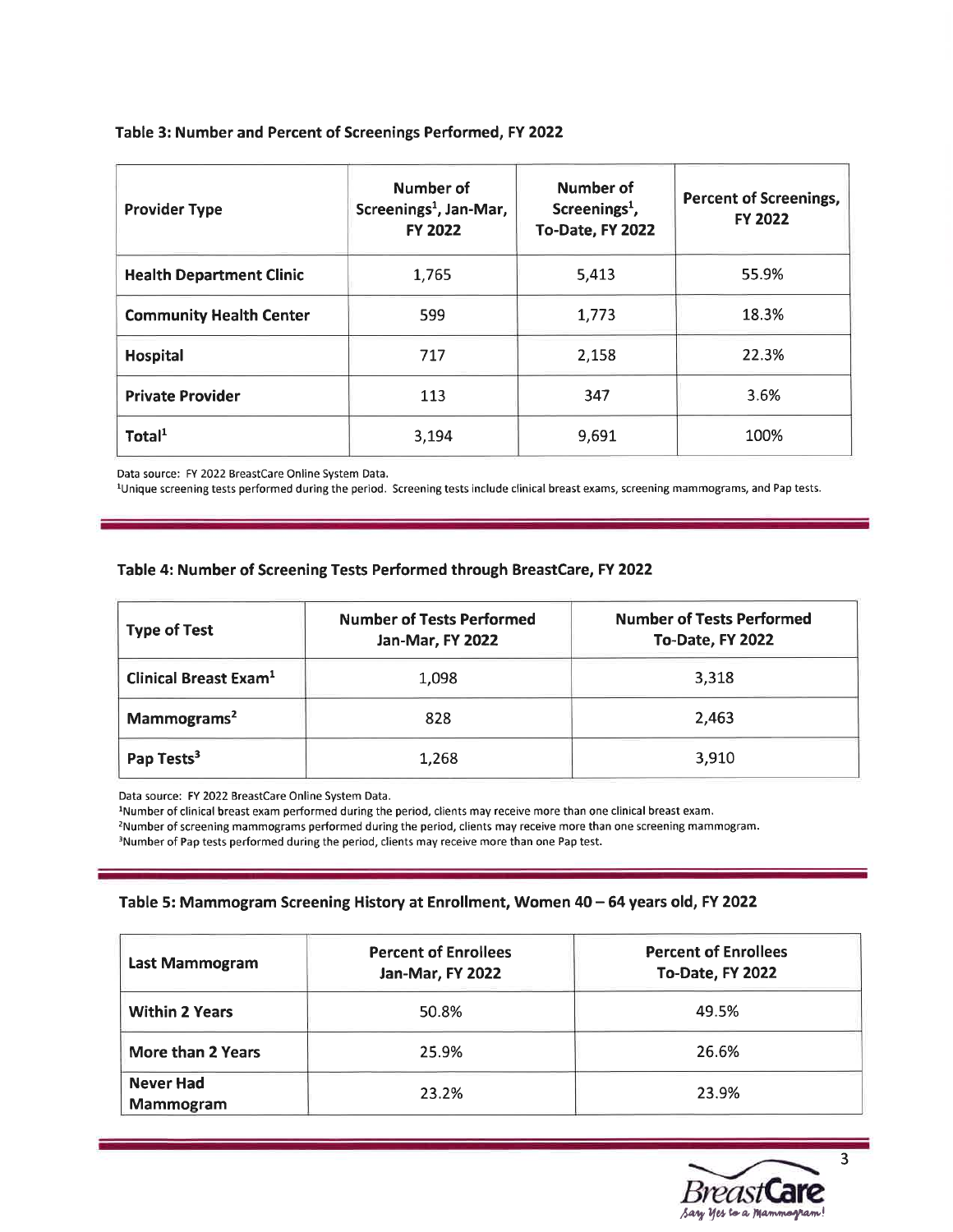#### Table 3: Number and Percent of Screenings Performed, FY 2022

| <b>Provider Type</b>            | Number of<br>Screenings <sup>1</sup> , Jan-Mar,<br><b>FY 2022</b> | Number of<br>Screenings <sup>1</sup> ,<br>To-Date, FY 2022 | <b>Percent of Screenings,</b><br><b>FY 2022</b> |
|---------------------------------|-------------------------------------------------------------------|------------------------------------------------------------|-------------------------------------------------|
| <b>Health Department Clinic</b> | 1,765                                                             | 5,413                                                      | 55.9%                                           |
| <b>Community Health Center</b>  | 599                                                               | 1,773                                                      | 18.3%                                           |
| <b>Hospital</b>                 | 717                                                               | 2,158                                                      | 22.3%                                           |
| <b>Private Provider</b>         | 113                                                               | 347                                                        | 3.6%                                            |
| Total $1$                       | 3,194                                                             | 9,691                                                      | 100%                                            |

Data source: FY 2022 BreastCare Online System Data.

<sup>1</sup>Unique screening tests performed during the period. Screening tests include clinical breast exams, screening mammograms, and Pap tests.

#### Table 4: Number of Screening Tests Performed through BreastCare,FY 2022

| <b>Type of Test</b>               | <b>Number of Tests Performed</b><br>Jan-Mar, FY 2022 | <b>Number of Tests Performed</b><br>To-Date, FY 2022 |  |
|-----------------------------------|------------------------------------------------------|------------------------------------------------------|--|
| Clinical Breast Exam <sup>1</sup> | 1,098                                                | 3,318                                                |  |
| Mammograms <sup>2</sup>           | 828                                                  | 2,463                                                |  |
| Pap Tests <sup>3</sup>            | 1,268                                                | 3,910                                                |  |

Data source: FY 2022 BreastCare Online System Data.

lNumber of clinical breast exam performed during the period, clients may receive more than one clinical breast exam. 2Number of screening mammograms performed during the period, clients may receive more than one screening mammogram. <sup>3</sup>Number of Pap tests performed during the period, clients may receive more than one Pap test.

#### Table 5: Mammogram Screening History at Enrollment, Women 40 - 64 years old, FY 2022

| Last Mammogram                | <b>Percent of Enrollees</b><br><b>Jan-Mar, FY 2022</b> | <b>Percent of Enrollees</b><br>To-Date, FY 2022 |  |
|-------------------------------|--------------------------------------------------------|-------------------------------------------------|--|
| <b>Within 2 Years</b>         | 50.8%                                                  | 49.5%                                           |  |
| More than 2 Years             | 25.9%                                                  | 26.6%                                           |  |
| <b>Never Had</b><br>Mammogram | 23.2%                                                  | 23.9%                                           |  |



3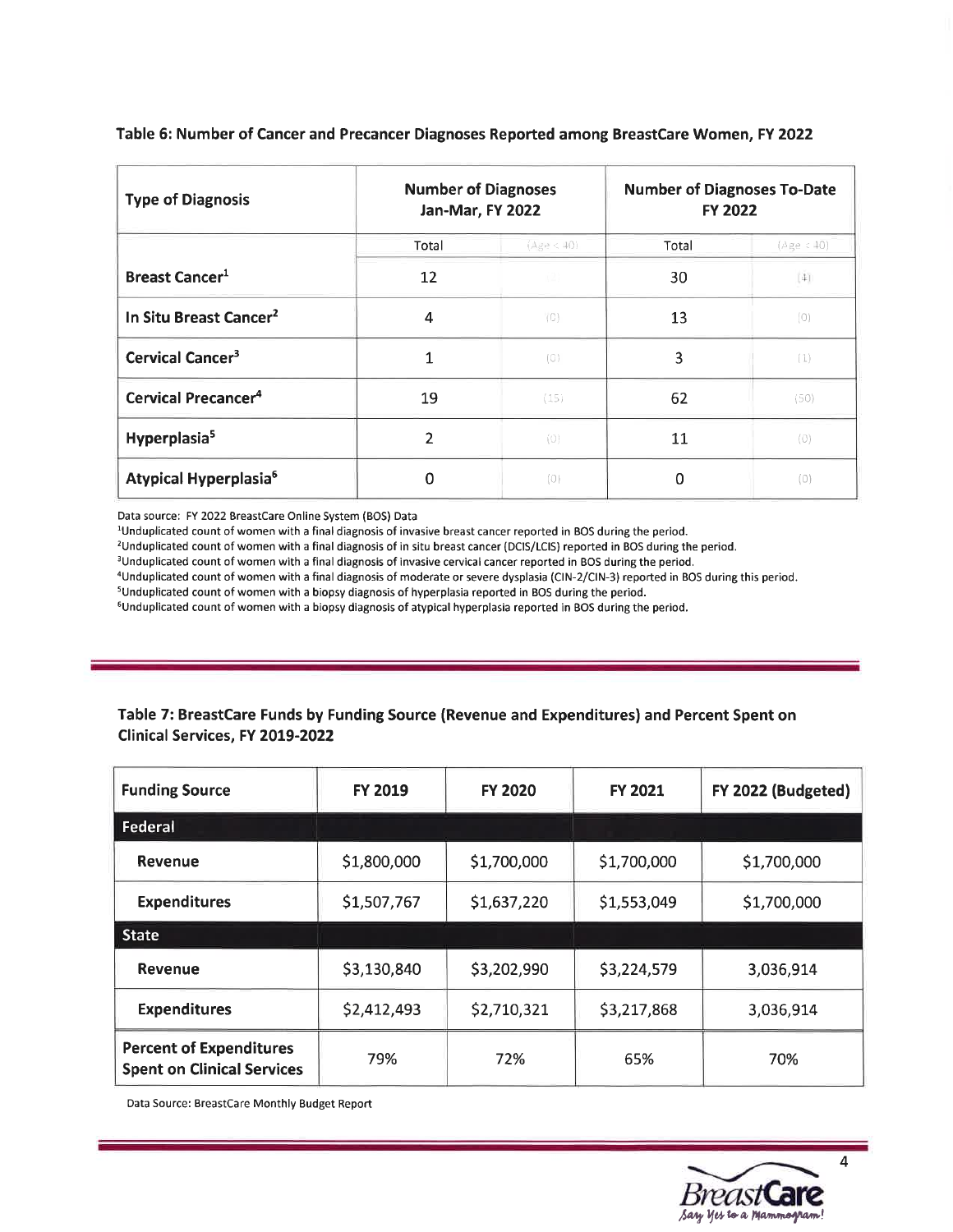| <b>Type of Diagnosis</b>           | <b>Number of Diagnoses</b><br>Jan-Mar, FY 2022 |             | <b>Number of Diagnoses To-Date</b><br><b>FY 2022</b> |                     |
|------------------------------------|------------------------------------------------|-------------|------------------------------------------------------|---------------------|
|                                    | Total                                          | $(Ag - 40)$ | Total                                                | (Age < 40)          |
| <b>Breast Cancer<sup>1</sup></b>   | 12                                             | (2)         | 30                                                   | $\lfloor 4 \rfloor$ |
| In Situ Breast Cancer <sup>2</sup> | 4                                              | (O)         | 13                                                   | (0)                 |
| Cervical Cancer <sup>3</sup>       | 1                                              | (O)         | 3                                                    | (1)                 |
| Cervical Precancer <sup>4</sup>    | 19                                             | (15)        | 62                                                   | (50)                |
| Hyperplasia <sup>5</sup>           | $\mathfrak z$                                  | (0)         | 11                                                   | (0)                 |
| Atypical Hyperplasia <sup>6</sup>  | 0                                              | (0)         | $\Omega$                                             | (0)                 |

Table 5: Number of Cancer and Precancer Diagnoses Reported among BreastCare Women, FY 2022

Data source: FY 2022 Breastcare Online System (BOS) Data

<sup>1</sup>Unduplicated count of women with a final diagnosis of invasive breast cancer reported in BOS during the period.

<sup>2</sup>Unduplicated count of women with a final diagnosis of in situ breast cancer (DCIS/LCIS) reported in BOS during the period.

<sup>3</sup>Unduplicated count of women with a final diagnosis of invasive cervical cancer reported in BOS during the period.

aUnduplicated count of women with a final diagnosis of moderate or severe dysplasia (ClN-2/ClN-3) reported in BOS during this period.

sUnduplicated count of women with a biopsy diagnosis of hyperplasia reported in BOS during the period.

6Unduplicated count of women with a biopsy diagnosis of atypical hyperplasia reported in BOS during the period.

#### Table 7: BreastCare Funds by Funding Source (Revenue and Expenditures) and Percent Spent on Clinical Services, FY 2OL9-2O22

| <b>Funding Source</b>                                               | <b>FY 2019</b> | <b>FY 2020</b> | <b>FY 2021</b> | FY 2022 (Budgeted) |
|---------------------------------------------------------------------|----------------|----------------|----------------|--------------------|
| Federal                                                             |                |                |                |                    |
| Revenue                                                             | \$1,800,000    | \$1,700,000    | \$1,700,000    | \$1,700,000        |
| <b>Expenditures</b>                                                 | \$1,507,767    | \$1,637,220    | \$1,553,049    | \$1,700,000        |
| <b>State</b>                                                        |                |                |                |                    |
| Revenue                                                             | \$3,130,840    | \$3,202,990    | \$3,224,579    | 3,036,914          |
| <b>Expenditures</b>                                                 | \$2,412,493    | \$2,710,321    | \$3,217,868    | 3,036,914          |
| <b>Percent of Expenditures</b><br><b>Spent on Clinical Services</b> | 79%            | 72%            | 65%            | 70%                |

Data Source: Breastcare Monthly Budget Report

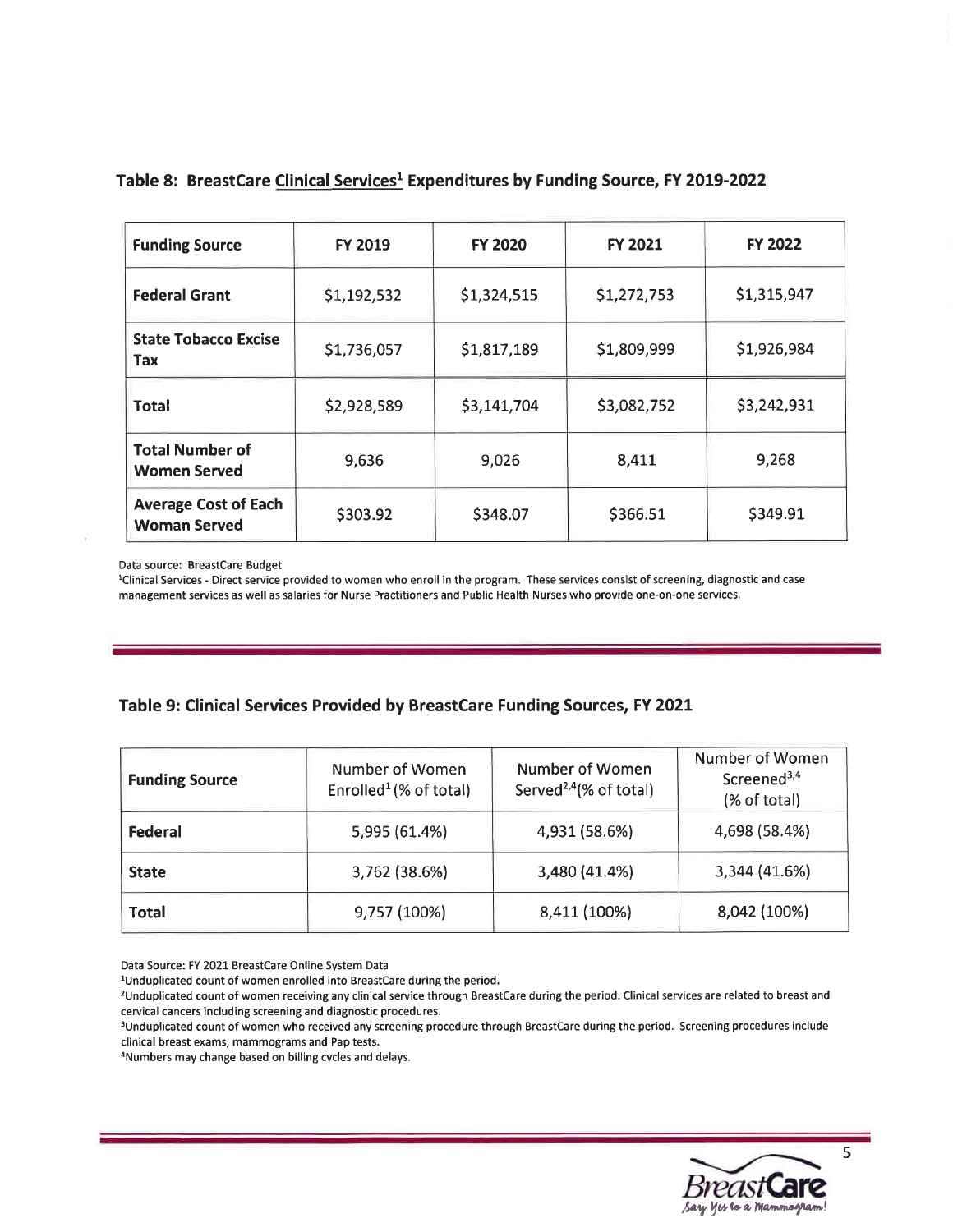| <b>Funding Source</b>                              | FY 2019     | <b>FY 2020</b> | FY 2021     | <b>FY 2022</b> |
|----------------------------------------------------|-------------|----------------|-------------|----------------|
| <b>Federal Grant</b>                               | \$1,192,532 | \$1,324,515    | \$1,272,753 | \$1,315,947    |
| <b>State Tobacco Excise</b><br>Tax                 | \$1,736,057 | \$1,817,189    | \$1,809,999 | \$1,926,984    |
| Total                                              | \$2,928,589 | \$3,141,704    | \$3,082,752 | \$3,242,931    |
| <b>Total Number of</b><br><b>Women Served</b>      | 9,636       | 9,026          | 8,411       | 9,268          |
| <b>Average Cost of Each</b><br><b>Woman Served</b> | \$303.92    | \$348.07       | \$366.51    | \$349.91       |

#### Table 8: BreastCare Clinical Services<sup>1</sup> Expenditures by Funding Source, FY 2019-2022

Data source: BreastCare Budget

<sup>1</sup>Clinical Services - Direct service provided to women who enroll in the program. These services consist of screening, diagnostic and case management services as well as salaries for Nurse Practitioners and Public Health Nurses who provide one-on-one services.

#### Table 9: Clinical Services Provided by BreastCare Funding Sources, FY 2O2I

| <b>Funding Source</b> | Number of Women<br>Enrolled <sup>1</sup> $(%$ (% of total) | Number of Women<br>Served <sup>2,4</sup> (% of total) | Number of Women<br>Screened <sup>3,4</sup><br>(% of total) |
|-----------------------|------------------------------------------------------------|-------------------------------------------------------|------------------------------------------------------------|
| Federal               | 5,995 (61.4%)                                              | 4,931 (58.6%)                                         | 4,698 (58.4%)                                              |
| <b>State</b>          | 3,762 (38.6%)                                              | 3,480 (41.4%)                                         | 3,344 (41.6%)                                              |
| <b>Total</b>          | 9,757 (100%)                                               | 8,411 (100%)                                          | 8,042 (100%)                                               |

Data Source: FY 2021 Breastcare Online System Data

<sup>1</sup>Unduplicated count of women enrolled into BreastCare during the period.

<sup>2</sup>Unduplicated count of women receiving any clinical service through BreastCare during the period. Clinical services are related to breast and cervical cancers including screening and diagnostic procedures.

<sup>3</sup>Unduplicated count of women who received any screening procedure through BreastCare during the period. Screening procedures include clinical breast exams, mammograms and Pap tests.

<sup>4</sup>Numbers may change based on billing cycles and delays.

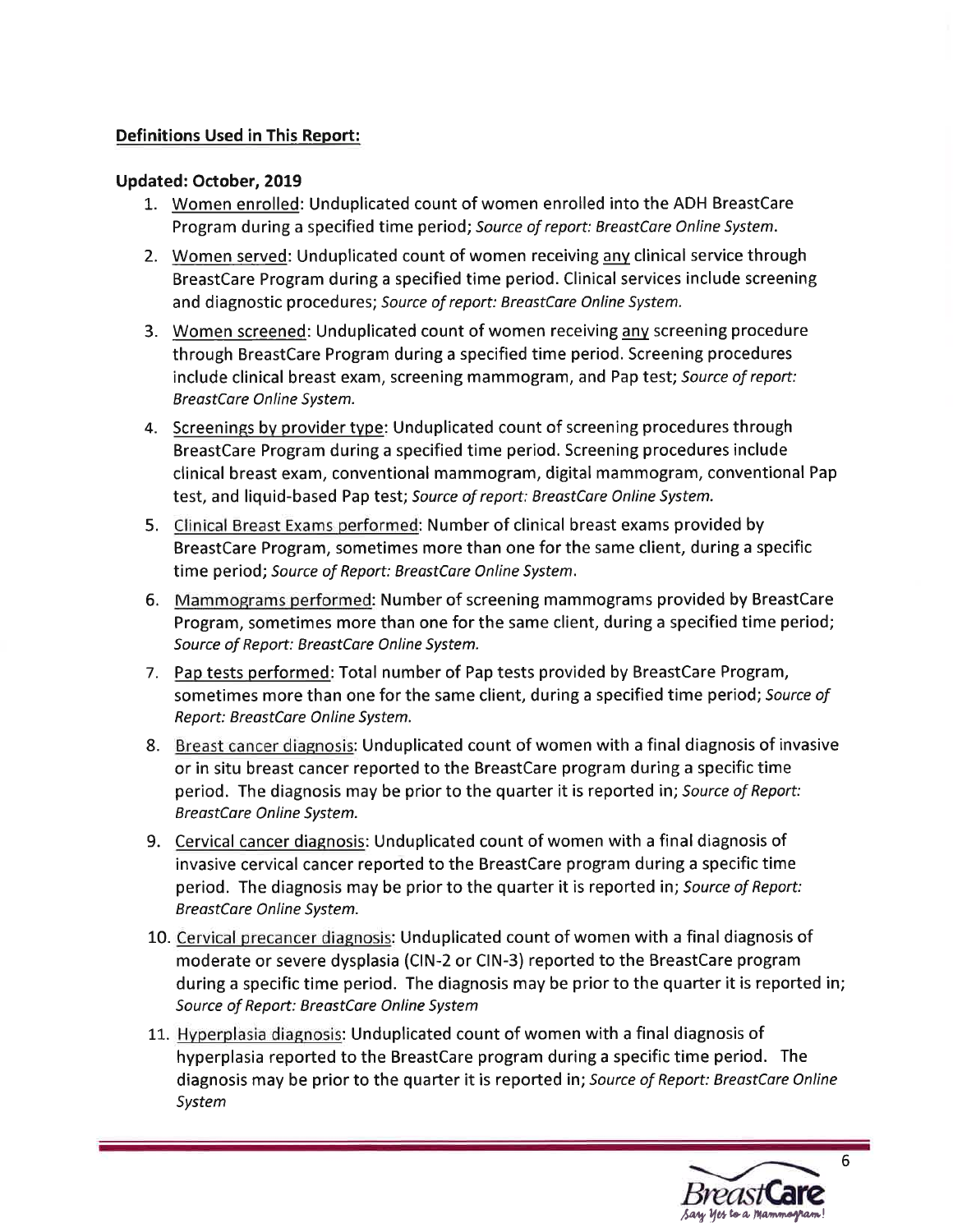### Definitions Used in This Report:

#### Updated: October,2019

- L. Women enrolled: Unduplicated count of women enrolled into the ADH BreastCare Program during a specified time period; Source of report: BreastCare Online System.
- 2. Women served: Unduplicated count of women receiving any clinical service through BreastCare Program during a specified time period. Clinical services include screening and diagnostic procedures; Source of report: BreastCare Online System.
- 3. Women screened: Unduplicated count of women receiving anv screening procedure through BreastCare Program during a specified time period. Screening procedures include clinical breast exam, screening mammogram, and Pap test; Source of report: BreastCare Online System.
- 4. Screenings by provider type: Unduplicated count of screening procedures through BreastCare Program during a specified time period. Screening procedures include clinical breast exam, conventional mammogram, digital mammogram, conventional Pap test, and liquid-based Pap test; Source of report: BreastCare Online System.
- 5. Clinical Breast Exams performed: Number of clinical breast exams provided by BreastCare Program, sometimes more than one for the same client, during a specific time period; Source of Report: BreostCare Online System.
- 6. Mammograms performed: Number of screening mammograms provided by BreastCare Program, sometimes more than one for the same client, during a specified time period; Source of Report: BreostCore Online System.
- 7. Pap tests performed: Total number of Pap tests provided by BreastCare Program, sometimes more than one for the same client, during a specified time period; Source of Report: BreostCore Online System.
- 8. Breast cancer diagnosis: Unduplicated count of women with a final diagnosis of invasive or in situ breast cancer reported to the BreastCare program during a specific time period. The diagnosis may be prior to the quarter it is reported in; Source of Report: BreastCare Online System.
- 9. Cervical cancer diagnosis: Unduplicated count of women with a final diagnosis of invasive cervical cancer reported to the BreastCare program during a specific time period. The diagnosis may be prior to the quarter it is reported in; Source of Report: BreastCare Online System.
- 10. Cervical precancer diagnosis: Unduplicated count of women with a final diagnosis of moderate or severe dysplasia (ClN-2 or CIN-3) reported to the BreastCare program during a specific time period. The diagnosis may be prior to the quarter it is reported in; Source of Report: BreostCore Online System
- 11. Hvperplasia diagnosis: Unduplicated count of women with a final diagnosis of hyperplasia reported to the BreastCare program during a specific time period. The diagnosis may be prior to the quarter it is reported in; Source of Report: BreastCare Online System